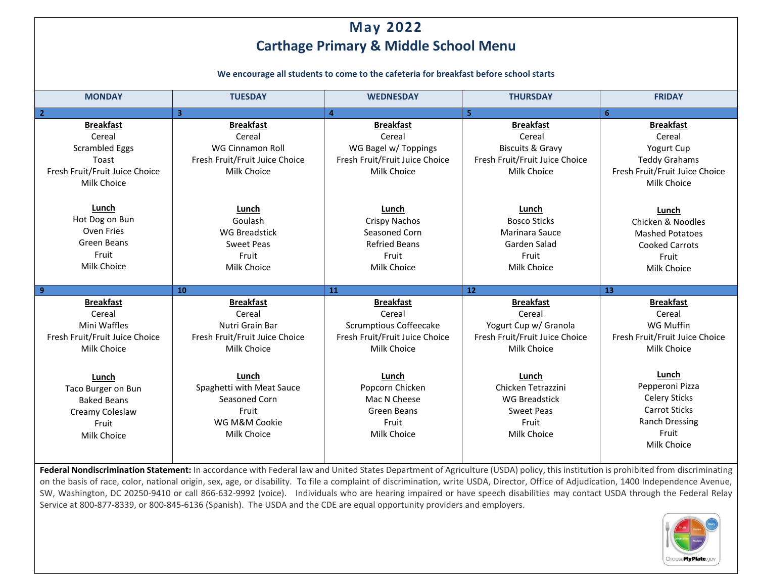## **May 2022 Carthage Primary & Middle School Menu**

**We encourage all students to come to the cafeteria for breakfast before school starts**

| <b>MONDAY</b>                            | <b>TUESDAY</b>                             | <b>WEDNESDAY</b>               | <b>THURSDAY</b>                | <b>FRIDAY</b>                  |
|------------------------------------------|--------------------------------------------|--------------------------------|--------------------------------|--------------------------------|
| $\overline{2}$                           | $\overline{\mathbf{3}}$                    | $\overline{\mathbf{4}}$        | 5                              | 6                              |
| <b>Breakfast</b>                         | <b>Breakfast</b>                           | <b>Breakfast</b>               | <b>Breakfast</b>               | <b>Breakfast</b>               |
| Cereal                                   | Cereal                                     | Cereal                         | Cereal                         | Cereal                         |
| <b>Scrambled Eggs</b>                    | WG Cinnamon Roll                           | WG Bagel w/ Toppings           | <b>Biscuits &amp; Gravy</b>    | Yogurt Cup                     |
| Toast                                    | Fresh Fruit/Fruit Juice Choice             | Fresh Fruit/Fruit Juice Choice | Fresh Fruit/Fruit Juice Choice | <b>Teddy Grahams</b>           |
| Fresh Fruit/Fruit Juice Choice           | Milk Choice                                | Milk Choice                    | Milk Choice                    | Fresh Fruit/Fruit Juice Choice |
| Milk Choice                              |                                            |                                |                                | Milk Choice                    |
|                                          |                                            |                                |                                |                                |
| Lunch                                    | Lunch                                      | Lunch                          | Lunch                          | Lunch                          |
| Hot Dog on Bun                           | Goulash                                    | Crispy Nachos                  | <b>Bosco Sticks</b>            | Chicken & Noodles              |
| Oven Fries                               | <b>WG Breadstick</b>                       | Seasoned Corn                  | Marinara Sauce                 | <b>Mashed Potatoes</b>         |
| Green Beans                              | <b>Sweet Peas</b>                          | <b>Refried Beans</b>           | Garden Salad                   | <b>Cooked Carrots</b>          |
| Fruit                                    | Fruit                                      | Fruit                          | Fruit                          | Fruit                          |
| Milk Choice                              | Milk Choice                                | Milk Choice                    | Milk Choice                    | Milk Choice                    |
|                                          |                                            |                                |                                |                                |
|                                          |                                            |                                |                                |                                |
| 9                                        | 10                                         | 11                             | 12                             | 13                             |
| <b>Breakfast</b>                         | <b>Breakfast</b>                           | <b>Breakfast</b>               | <b>Breakfast</b>               | <b>Breakfast</b>               |
| Cereal                                   | Cereal                                     | Cereal                         | Cereal                         | Cereal                         |
| Mini Waffles                             | Nutri Grain Bar                            | <b>Scrumptious Coffeecake</b>  | Yogurt Cup w/ Granola          | WG Muffin                      |
| Fresh Fruit/Fruit Juice Choice           | Fresh Fruit/Fruit Juice Choice             | Fresh Fruit/Fruit Juice Choice | Fresh Fruit/Fruit Juice Choice | Fresh Fruit/Fruit Juice Choice |
| Milk Choice                              | Milk Choice                                | Milk Choice                    | Milk Choice                    | Milk Choice                    |
|                                          |                                            |                                |                                |                                |
|                                          | Lunch                                      | Lunch                          | Lunch                          | Lunch                          |
| Lunch                                    |                                            | Popcorn Chicken                | Chicken Tetrazzini             | Pepperoni Pizza                |
| Taco Burger on Bun<br><b>Baked Beans</b> | Spaghetti with Meat Sauce<br>Seasoned Corn | Mac N Cheese                   | <b>WG Breadstick</b>           | <b>Celery Sticks</b>           |
|                                          | Fruit                                      | Green Beans                    | <b>Sweet Peas</b>              | <b>Carrot Sticks</b>           |
| Creamy Coleslaw<br>Fruit                 | WG M&M Cookie                              | Fruit                          | Fruit                          | <b>Ranch Dressing</b>          |
| Milk Choice                              | Milk Choice                                | Milk Choice                    | Milk Choice                    | Fruit                          |
|                                          |                                            |                                |                                | Milk Choice                    |

Federal Nondiscrimination Statement: In accordance with Federal law and United States Department of Agriculture (USDA) policy, this institution is prohibited from discriminating on the basis of race, color, national origin, sex, age, or disability. To file a complaint of discrimination, write USDA, Director, Office of Adjudication, 1400 Independence Avenue, SW, Washington, DC 20250-9410 or call 866-632-9992 (voice). Individuals who are hearing impaired or have speech disabilities may contact USDA through the Federal Relay Service at 800-877-8339, or 800-845-6136 (Spanish). The USDA and the CDE are equal opportunity providers and employers.